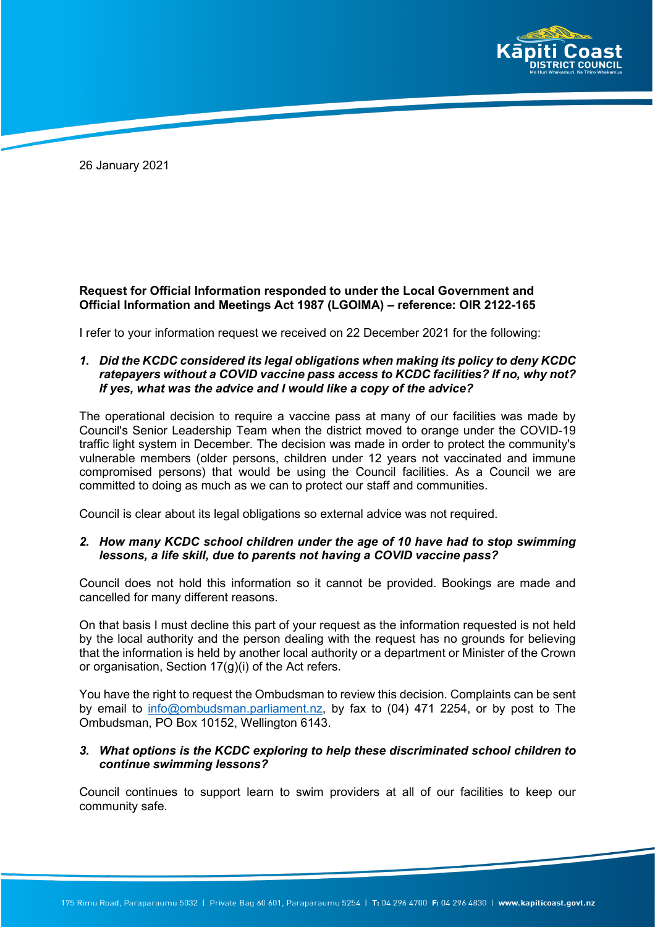

26 January 2021

# **Request for Official Information responded to under the Local Government and Official Information and Meetings Act 1987 (LGOIMA) – reference: OIR 2122-165**

I refer to your information request we received on 22 December 2021 for the following:

*1. Did the KCDC considered its legal obligations when making its policy to deny KCDC ratepayers without a COVID vaccine pass access to KCDC facilities? If no, why not? If yes, what was the advice and I would like a copy of the advice?*

The operational decision to require a vaccine pass at many of our facilities was made by Council's Senior Leadership Team when the district moved to orange under the COVID-19 traffic light system in December. The decision was made in order to protect the community's vulnerable members (older persons, children under 12 years not vaccinated and immune compromised persons) that would be using the Council facilities. As a Council we are committed to doing as much as we can to protect our staff and communities.

Council is clear about its legal obligations so external advice was not required.

# *2. How many KCDC school children under the age of 10 have had to stop swimming lessons, a life skill, due to parents not having a COVID vaccine pass?*

Council does not hold this information so it cannot be provided. Bookings are made and cancelled for many different reasons.

On that basis I must decline this part of your request as the information requested is not held by the local authority and the person dealing with the request has no grounds for believing that the information is held by another local authority or a department or Minister of the Crown or organisation, Section 17(g)(i) of the Act refers.

You have the right to request the Ombudsman to review this decision. Complaints can be sent by email to [info@ombudsman.parliament.nz,](mailto:info@ombudsman.parliament.nz) by fax to (04) 471 2254, or by post to The Ombudsman, PO Box 10152, Wellington 6143.

#### *3. What options is the KCDC exploring to help these discriminated school children to continue swimming lessons?*

Council continues to support learn to swim providers at all of our facilities to keep our community safe.